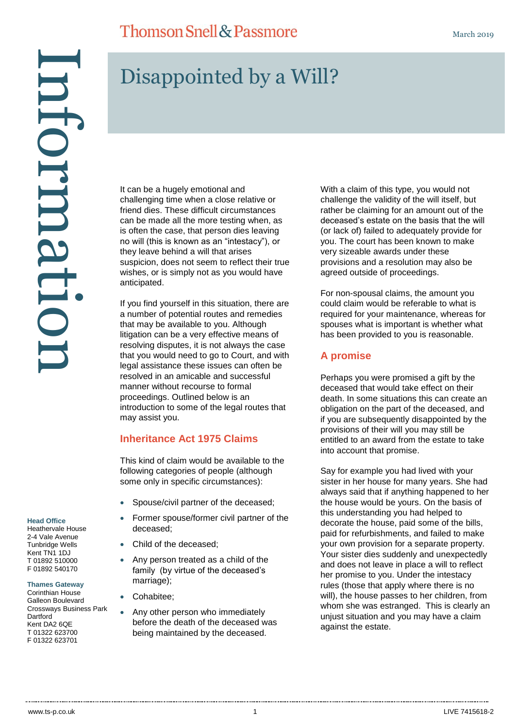# **Thomson Snell & Passmore**

# Information nformati

### **Head Office**

Heathervale House 2-4 Vale Avenue Tunbridge Wells Kent TN1 1DJ T 01892 510000 F 01892 540170

### **Thames Gateway**

Corinthian House Galleon Boulevard Crossways Business Park **Dartford** Kent DA2 6QE T 01322 623700 F 01322 623701

# Disappointed by a Will?

It can be a hugely emotional and challenging time when a close relative or friend dies. These difficult circumstances can be made all the more testing when, as is often the case, that person dies leaving no will (this is known as an "intestacy"), or they leave behind a will that arises suspicion, does not seem to reflect their true wishes, or is simply not as you would have anticipated.

If you find yourself in this situation, there are a number of potential routes and remedies that may be available to you. Although litigation can be a very effective means of resolving disputes, it is not always the case that you would need to go to Court, and with legal assistance these issues can often be resolved in an amicable and successful manner without recourse to formal proceedings. Outlined below is an introduction to some of the legal routes that may assist you.

### **Inheritance Act 1975 Claims**

This kind of claim would be available to the following categories of people (although some only in specific circumstances):

- Spouse/civil partner of the deceased;
- Former spouse/former civil partner of the deceased;
- Child of the deceased;
- Any person treated as a child of the family (by virtue of the deceased's marriage);
- Cohabitee;
- Any other person who immediately before the death of the deceased was being maintained by the deceased.

With a claim of this type, you would not challenge the validity of the will itself, but rather be claiming for an amount out of the deceased's estate on the basis that the will (or lack of) failed to adequately provide for you. The court has been known to make very sizeable awards under these provisions and a resolution may also be agreed outside of proceedings.

For non-spousal claims, the amount you could claim would be referable to what is required for your maintenance, whereas for spouses what is important is whether what has been provided to you is reasonable.

### **A promise**

Perhaps you were promised a gift by the deceased that would take effect on their death. In some situations this can create an obligation on the part of the deceased, and if you are subsequently disappointed by the provisions of their will you may still be entitled to an award from the estate to take into account that promise.

Say for example you had lived with your sister in her house for many years. She had always said that if anything happened to her the house would be yours. On the basis of this understanding you had helped to decorate the house, paid some of the bills, paid for refurbishments, and failed to make your own provision for a separate property. Your sister dies suddenly and unexpectedly and does not leave in place a will to reflect her promise to you. Under the intestacy rules (those that apply where there is no will), the house passes to her children, from whom she was estranged. This is clearly an unjust situation and you may have a claim against the estate.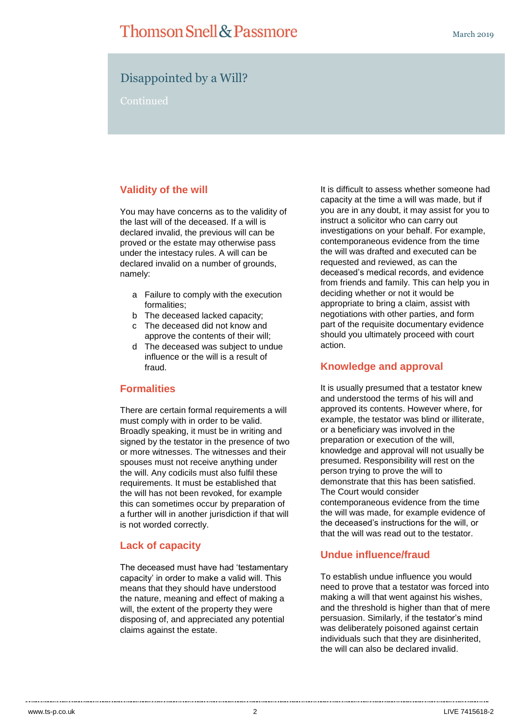### Disappointed by a Will?

Continued

### **Validity of the will**

You may have concerns as to the validity of the last will of the deceased. If a will is declared invalid, the previous will can be proved or the estate may otherwise pass under the intestacy rules. A will can be declared invalid on a number of grounds. namely:

- a Failure to comply with the execution formalities;
- b The deceased lacked capacity;
- c The deceased did not know and approve the contents of their will;
- d The deceased was subject to undue influence or the will is a result of fraud.

### **Formalities**

There are certain formal requirements a will must comply with in order to be valid. Broadly speaking, it must be in writing and signed by the testator in the presence of two or more witnesses. The witnesses and their spouses must not receive anything under the will. Any codicils must also fulfil these requirements. It must be established that the will has not been revoked, for example this can sometimes occur by preparation of a further will in another jurisdiction if that will is not worded correctly.

### **Lack of capacity**

The deceased must have had 'testamentary capacity' in order to make a valid will. This means that they should have understood the nature, meaning and effect of making a will, the extent of the property they were disposing of, and appreciated any potential claims against the estate.

It is difficult to assess whether someone had capacity at the time a will was made, but if you are in any doubt, it may assist for you to instruct a solicitor who can carry out investigations on your behalf. For example, contemporaneous evidence from the time the will was drafted and executed can be requested and reviewed, as can the deceased's medical records, and evidence from friends and family. This can help you in deciding whether or not it would be appropriate to bring a claim, assist with negotiations with other parties, and form part of the requisite documentary evidence should you ultimately proceed with court action.

### **Knowledge and approval**

It is usually presumed that a testator knew and understood the terms of his will and approved its contents. However where, for example, the testator was blind or illiterate, or a beneficiary was involved in the preparation or execution of the will, knowledge and approval will not usually be presumed. Responsibility will rest on the person trying to prove the will to demonstrate that this has been satisfied. The Court would consider contemporaneous evidence from the time the will was made, for example evidence of the deceased's instructions for the will, or that the will was read out to the testator.

### **Undue influence/fraud**

To establish undue influence you would need to prove that a testator was forced into making a will that went against his wishes, and the threshold is higher than that of mere persuasion. Similarly, if the testator's mind was deliberately poisoned against certain individuals such that they are disinherited, the will can also be declared invalid.